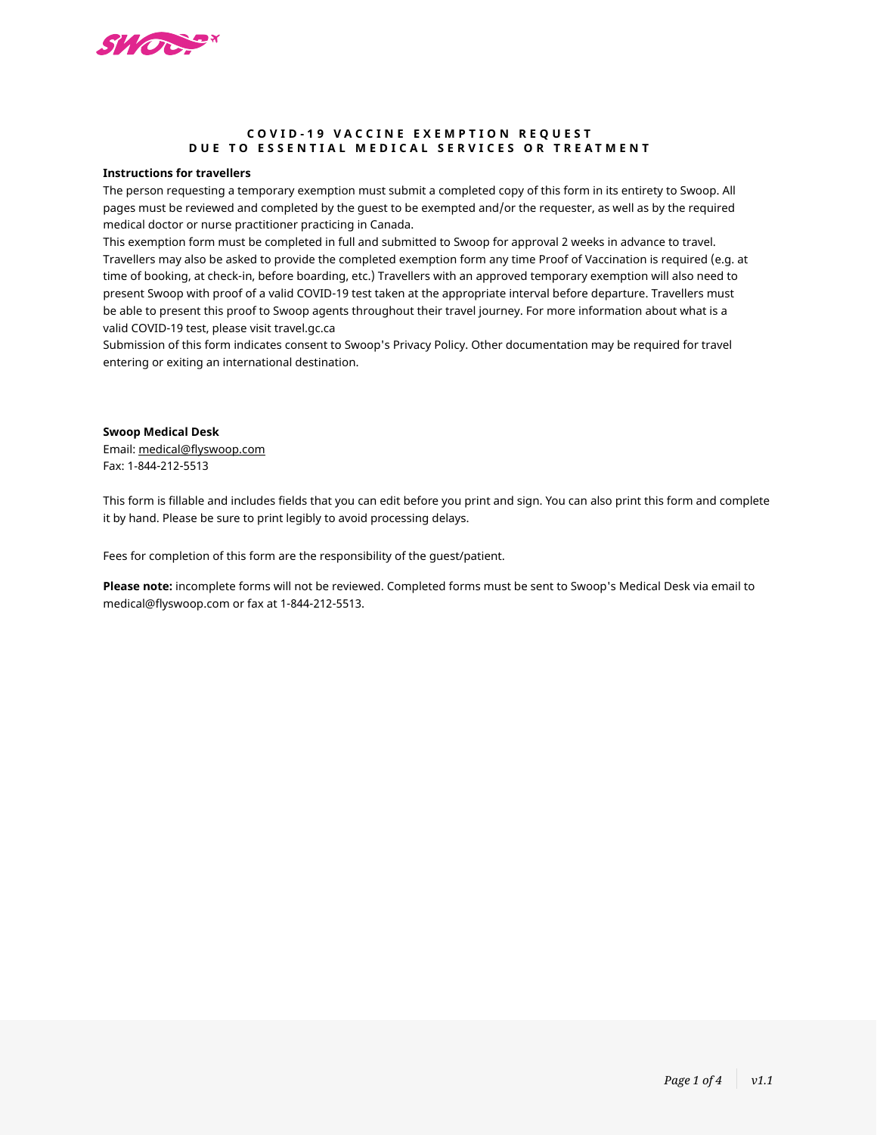

## **COVID-19 VACCINE EXEMPTION REQUEST DUE TO ESSENTIAL MEDICAL SERVICES OR TREATMENT**

#### **Instructions for travellers**

The person requesting a temporary exemption must submit a completed copy of this form in its entirety to Swoop. All pages must be reviewed and completed by the guest to be exempted and/or the requester, as well as by the required medical doctor or nurse practitioner practicing in Canada.

This exemption form must be completed in full and submitted to Swoop for approval 2 weeks in advance to travel. Travellers may also be asked to provide the completed exemption form any time Proof of Vaccination is required (e.g. at time of booking, at check-in, before boarding, etc.) Travellers with an approved temporary exemption will also need to present Swoop with proof of a valid COVID-19 test taken at the appropriate interval before departure. Travellers must be able to present this proof to Swoop agents throughout their travel journey. For more information about what is a valid COVID-19 test, please visit travel.gc.ca

Submission of this form indicates consent to Swoop's Privacy Policy. Other documentation may be required for travel entering or exiting an international destination.

#### **Swoop Medical Desk**

Email: [medical@flyswoop.com](mailto:meddesk%40westjet.com?subject=) Fax: 1-844-212-5513

This form is fillable and includes fields that you can edit before you print and sign. You can also print this form and complete it by hand. Please be sure to print legibly to avoid processing delays.

Fees for completion of this form are the responsibility of the guest/patient.

**Please note:** incomplete forms will not be reviewed. Completed forms must be sent to Swoop's Medical Desk via email to medical@flyswoop.com or fax at 1-844-212-5513.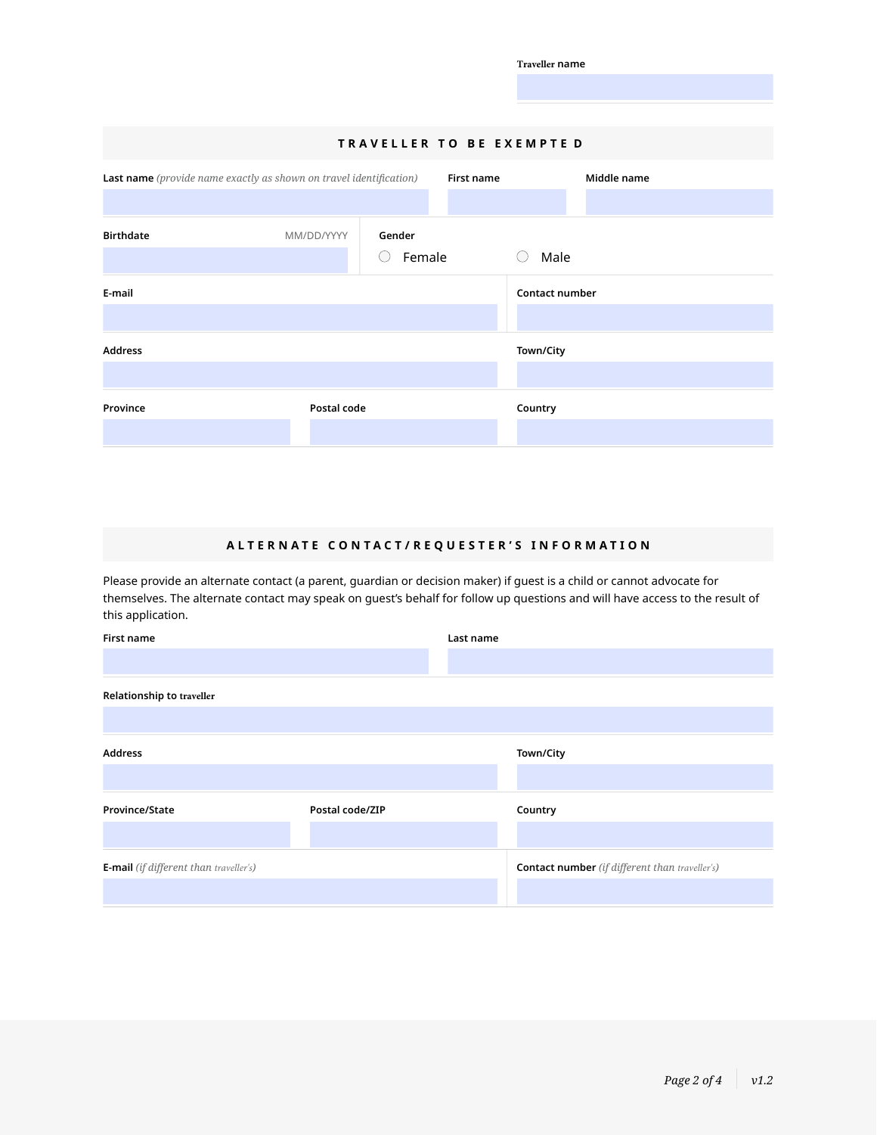|                                                                    |                           |             |            | <b>Traveller name</b> |             |  |  |
|--------------------------------------------------------------------|---------------------------|-------------|------------|-----------------------|-------------|--|--|
|                                                                    |                           |             |            |                       |             |  |  |
|                                                                    |                           |             |            |                       |             |  |  |
|                                                                    | TRAVELLER TO BE EXEMPTE D |             |            |                       |             |  |  |
| Last name (provide name exactly as shown on travel identification) |                           |             | First name |                       | Middle name |  |  |
|                                                                    |                           |             |            |                       |             |  |  |
| <b>Birthdate</b>                                                   | MM/DD/YYYY                | Gender      |            |                       |             |  |  |
|                                                                    |                           | Female<br>O |            | Male<br>(             |             |  |  |
| E-mail                                                             |                           |             |            | Contact number        |             |  |  |
|                                                                    |                           |             |            |                       |             |  |  |
| <b>Address</b>                                                     |                           |             |            | Town/City             |             |  |  |
|                                                                    |                           |             |            |                       |             |  |  |
| Province                                                           | Postal code               |             |            | Country               |             |  |  |
|                                                                    |                           |             |            |                       |             |  |  |

# **ALTERNATE CONTACT/REQUESTER'S INFORMATION**

Please provide an alternate contact (a parent, guardian or decision maker) if guest is a child or cannot advocate for themselves. The alternate contact may speak on guest's behalf for follow up questions and will have access to the result of this application.

| First name                                    |                 | Last name |                                                       |  |
|-----------------------------------------------|-----------------|-----------|-------------------------------------------------------|--|
|                                               |                 |           |                                                       |  |
| Relationship to traveller                     |                 |           |                                                       |  |
|                                               |                 |           |                                                       |  |
| <b>Address</b>                                |                 |           | Town/City                                             |  |
|                                               |                 |           |                                                       |  |
| Province/State                                | Postal code/ZIP |           | Country                                               |  |
|                                               |                 |           |                                                       |  |
| <b>E-mail</b> (if different than traveller's) |                 |           | <b>Contact number</b> (if different than traveller's) |  |
|                                               |                 |           |                                                       |  |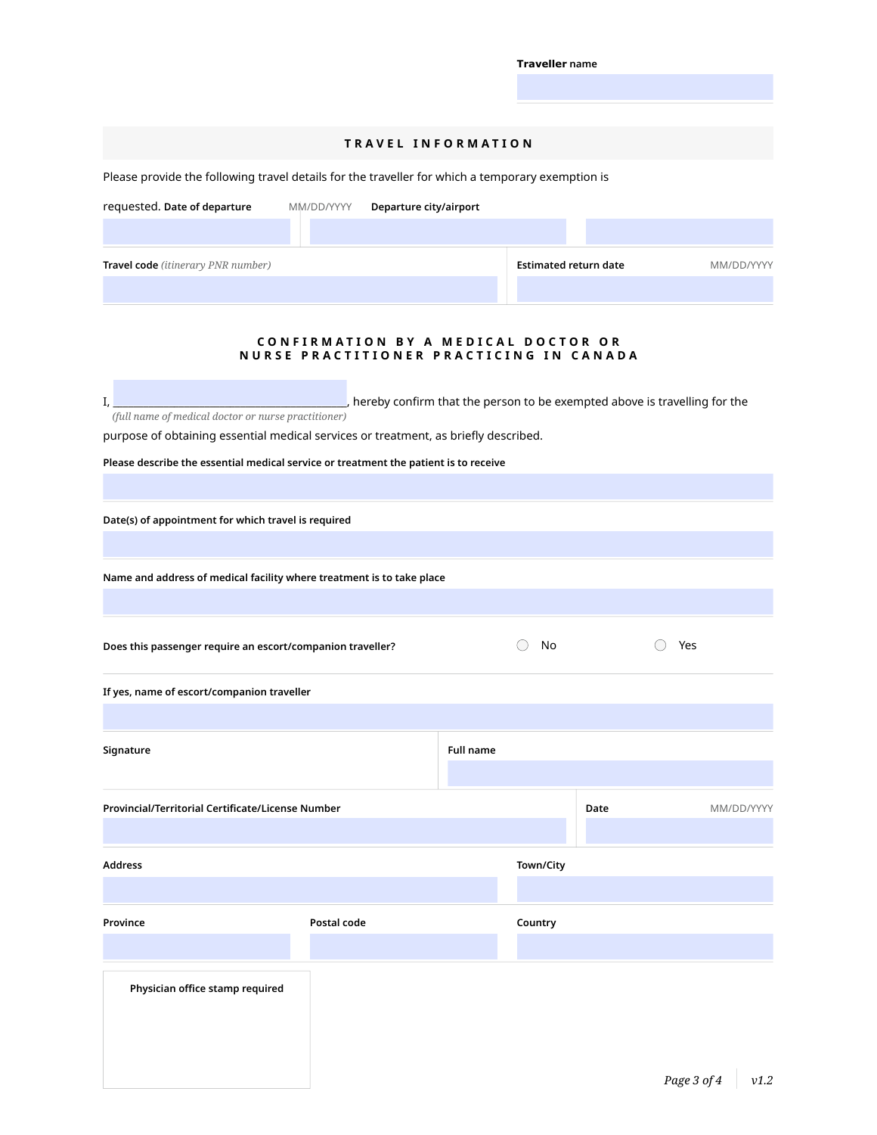| <b>Traveller</b> name |  |
|-----------------------|--|
|-----------------------|--|

#### **TRAVEL INFORMATION**

Please provide the following travel details for the traveller for which a temporary exemption is

| requested. Date of departure              | MM/DD/YYYY | Departure city/airport |                              |            |
|-------------------------------------------|------------|------------------------|------------------------------|------------|
|                                           |            |                        |                              |            |
| <b>Travel code</b> (itinerary PNR number) |            |                        | <b>Estimated return date</b> | MM/DD/YYYY |
|                                           |            |                        |                              |            |

### **CONFIRMATION BY A MEDICAL DOCTOR OR NURSE PRACTITIONER PRACTICING IN CANADA**

| , hereby confirm that the person to be exempted above is travelling for the         |
|-------------------------------------------------------------------------------------|
| (full name of medical doctor or nurse practitioner)                                 |
| purposo of obtaining essential modical sensions ar treatment, as briefly described. |

purpose of obtaining essential medical services or treatment, as briefly described.

**Please describe the essential medical service or treatment the patient is to receive**

**Date(s) of appointment for which travel is required** 

**Name and address of medical facility where treatment is to take place**

**Does this passenger require an escort/companion traveller?** No  $\bigcirc$  No  $\bigcirc$  Yes

**If yes, name of escort/companion traveller**

| Signature                                         |             | <b>Full name</b> |           |      |            |
|---------------------------------------------------|-------------|------------------|-----------|------|------------|
| Provincial/Territorial Certificate/License Number |             |                  |           | Date | MM/DD/YYYY |
| <b>Address</b>                                    |             |                  | Town/City |      |            |
| Province                                          | Postal code |                  | Country   |      |            |
| Physician office stamp required                   |             |                  |           |      |            |